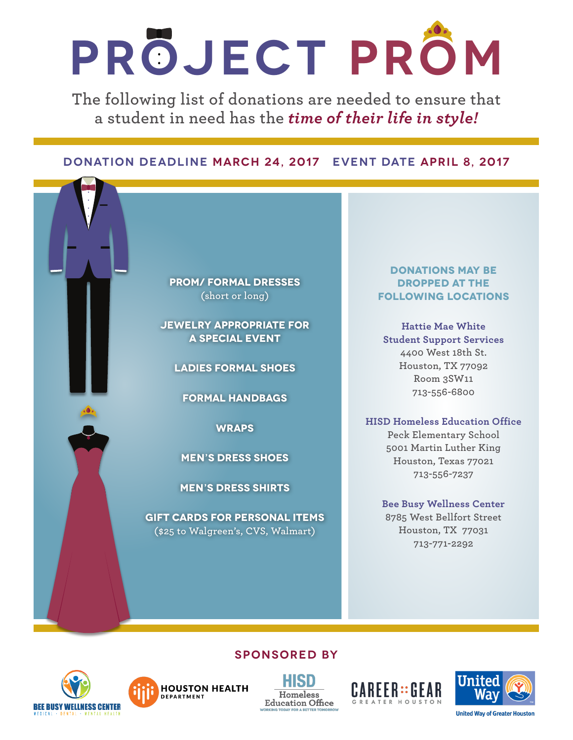## **Project Prom**

**The following list of donations are needed to ensure that a student in need has the** *time of their life in style!*

### **Donation Deadline March 24, 2017 Event date April 8, 2017**



**Jewelry appropriate for a special event**

**Ladies Formal Shoes**

**Formal Handbags**

**Wraps** 

**Men's Dress shoes**

**Men's Dress Shirts** 

**Gift cards for personal items (\$25 to Walgreen's, CVS, Walmart)**

#### **Donations may be dropped at the following locations**

**Hattie Mae White Student Support Services 4400 West 18th St. Houston, TX 77092 Room 3SW11 713-556-6800** 

#### **HISD Homeless Education Office**

**Peck Elementary School 5001 Martin Luther King Houston, Texas 77021 713-556-7237**

#### **Bee Busy Wellness Center 8785 West Bellfort Street Houston, TX 77031 713-771-2292**







**Sponsored By**





**United Way of Greater Houston**